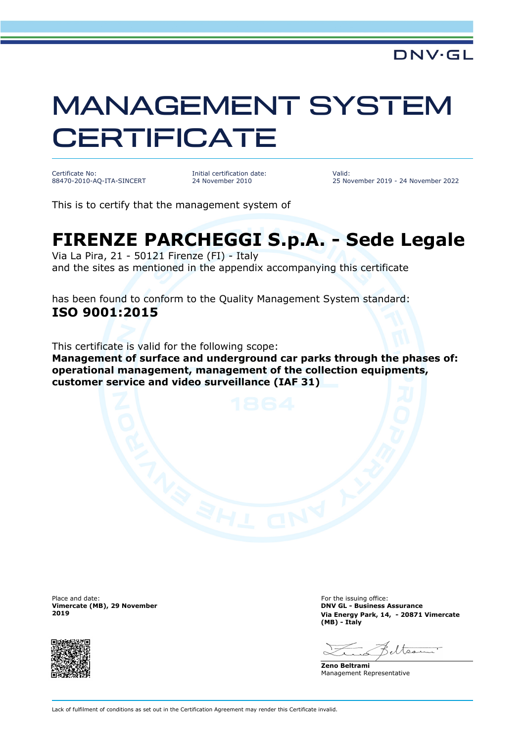## MANAGEMENT SYSTEM **CERTIFICATE**

Certificate No: 88470-2010-AQ-ITA-SINCERT Initial certification date: 24 November 2010

Valid: 25 November 2019 - 24 November 2022

This is to certify that the management system of

## **FIRENZE PARCHEGGI S.p.A. - Sede Legale**

Via La Pira, 21 - 50121 Firenze (FI) - Italy and the sites as mentioned in the appendix accompanying this certificate

has been found to conform to the Quality Management System standard: **ISO 9001:2015**

This certificate is valid for the following scope:

**Management of surface and underground car parks through the phases of: operational management, management of the collection equipments, customer service and video surveillance (IAF 31)**

Place and date: **For the issuing office:** For the issuing office: **Vimercate (MB), 29 November 2019**



**DNV GL - Business Assurance Via Energy Park, 14, - 20871 Vimercate (MB) - Italy**

**Zeno Beltrami** Management Representative

Lack of fulfilment of conditions as set out in the Certification Agreement may render this Certificate invalid.